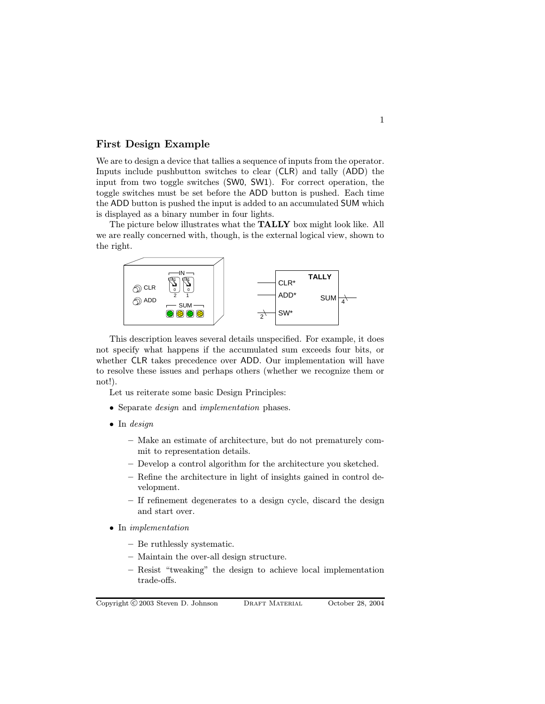## First Design Example

We are to design a device that tallies a sequence of inputs from the operator. Inputs include pushbutton switches to clear (CLR) and tally (ADD) the input from two toggle switches (SW0, SW1). For correct operation, the toggle switches must be set before the ADD button is pushed. Each time the ADD button is pushed the input is added to an accumulated SUM which is displayed as a binary number in four lights.

The picture below illustrates what the TALLY box might look like. All we are really concerned with, though, is the external logical view, shown to the right.



This description leaves several details unspecified. For example, it does not specify what happens if the accumulated sum exceeds four bits, or whether CLR takes precedence over ADD. Our implementation will have to resolve these issues and perhaps others (whether we recognize them or not!).

Let us reiterate some basic Design Principles:

- Separate *design* and *implementation* phases.
- In design
	- Make an estimate of architecture, but do not prematurely commit to representation details.
	- Develop a control algorithm for the architecture you sketched.
	- Refine the architecture in light of insights gained in control development.
	- If refinement degenerates to a design cycle, discard the design and start over.
- In implementation
	- Be ruthlessly systematic.
	- Maintain the over-all design structure.
	- Resist "tweaking" the design to achieve local implementation trade-offs.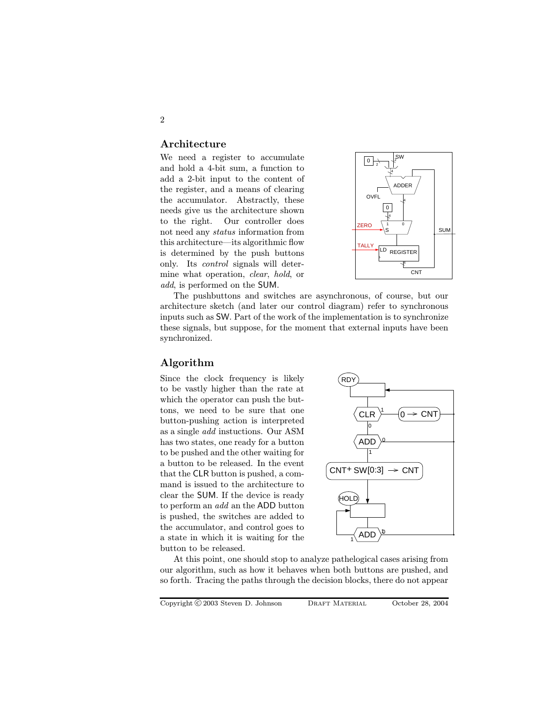### Architecture

We need a register to accumulate and hold a 4-bit sum, a function to add a 2-bit input to the content of the register, and a means of clearing the accumulator. Abstractly, these needs give us the architecture shown to the right. Our controller does not need any status information from this architecture—its algorithmic flow is determined by the push buttons only. Its control signals will determine what operation, clear, hold, or add, is performed on the SUM.



The pushbuttons and switches are asynchronous, of course, but our architecture sketch (and later our control diagram) refer to synchronous inputs such as SW. Part of the work of the implementation is to synchronize these signals, but suppose, for the moment that external inputs have been synchronized.

# Algorithm

Since the clock frequency is likely to be vastly higher than the rate at which the operator can push the buttons, we need to be sure that one button-pushing action is interpreted as a single add instuctions. Our ASM has two states, one ready for a button to be pushed and the other waiting for a button to be released. In the event that the CLR button is pushed, a command is issued to the architecture to clear the SUM. If the device is ready to perform an add an the ADD button is pushed, the switches are added to the accumulator, and control goes to a state in which it is waiting for the button to be released.



At this point, one should stop to analyze pathelogical cases arising from our algorithm, such as how it behaves when both buttons are pushed, and so forth. Tracing the paths through the decision blocks, there do not appear

2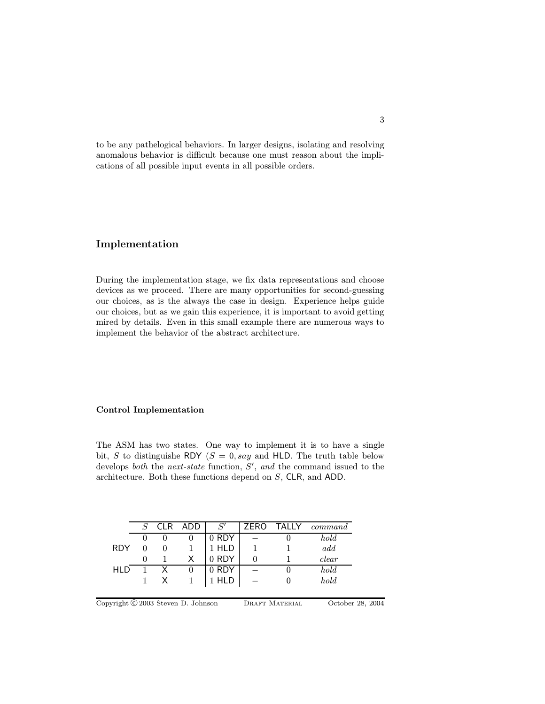to be any pathelogical behaviors. In larger designs, isolating and resolving anomalous behavior is difficult because one must reason about the implications of all possible input events in all possible orders.

# Implementation

During the implementation stage, we fix data representations and choose devices as we proceed. There are many opportunities for second-guessing our choices, as is the always the case in design. Experience helps guide our choices, but as we gain this experience, it is important to avoid getting mired by details. Even in this small example there are numerous ways to implement the behavior of the abstract architecture.

### Control Implementation

The ASM has two states. One way to implement it is to have a single bit, S to distinguishe RDY ( $S = 0$ , say and HLD. The truth table below develops both the next-state function,  $S'$ , and the command issued to the architecture. Both these functions depend on S, CLR, and ADD.

|            | $S_{-}$  | CLR ADD | S'    |  | ZERO TALLY command |
|------------|----------|---------|-------|--|--------------------|
|            |          |         | 0 RDY |  | hold               |
| <b>RDY</b> |          |         | 1 HLD |  | add                |
|            | $\theta$ |         | 0 RDY |  | clear              |
| HI D       |          |         | 0 RDY |  | hold               |
|            |          |         | 1 HLD |  | hold               |
|            |          |         |       |  |                    |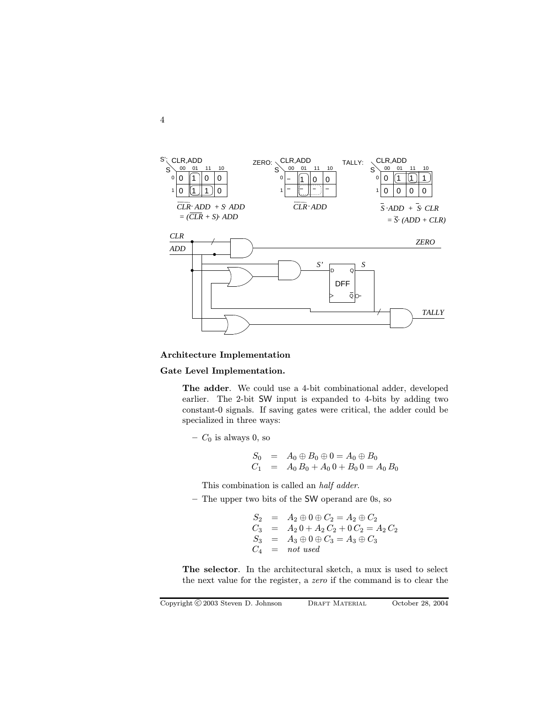

#### Architecture Implementation

## Gate Level Implementation.

The adder. We could use a 4-bit combinational adder, developed earlier. The 2-bit SW input is expanded to 4-bits by adding two constant-0 signals. If saving gates were critical, the adder could be specialized in three ways:

 $C_0$  is always 0, so

$$
S_0 = A_0 \oplus B_0 \oplus 0 = A_0 \oplus B_0
$$
  

$$
C_1 = A_0 B_0 + A_0 0 + B_0 0 = A_0 B_0
$$

This combination is called an half adder.

– The upper two bits of the SW operand are 0s, so

$$
S_2 = A_2 \oplus 0 \oplus C_2 = A_2 \oplus C_2
$$
  
\n
$$
C_3 = A_2 0 + A_2 C_2 + 0 C_2 = A_2 C_2
$$
  
\n
$$
S_3 = A_3 \oplus 0 \oplus C_3 = A_3 \oplus C_3
$$
  
\n
$$
C_4 = not used
$$

The selector. In the architectural sketch, a mux is used to select the next value for the register, a zero if the command is to clear the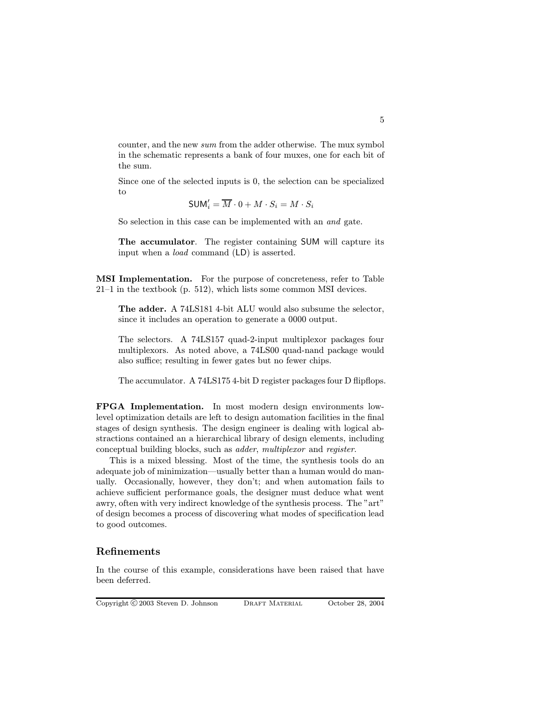counter, and the new sum from the adder otherwise. The mux symbol in the schematic represents a bank of four muxes, one for each bit of the sum.

Since one of the selected inputs is 0, the selection can be specialized to

$$
\mathsf{SUM}_i' = \overline{M} \cdot 0 + M \cdot S_i = M \cdot S_i
$$

So selection in this case can be implemented with an and gate.

The accumulator. The register containing SUM will capture its input when a load command (LD) is asserted.

MSI Implementation. For the purpose of concreteness, refer to Table 21–1 in the textbook (p. 512), which lists some common MSI devices.

The adder. A 74LS181 4-bit ALU would also subsume the selector, since it includes an operation to generate a 0000 output.

The selectors. A 74LS157 quad-2-input multiplexor packages four multiplexors. As noted above, a 74LS00 quad-nand package would also suffice; resulting in fewer gates but no fewer chips.

The accumulator. A 74LS1754-bit D register packages four D flipflops.

FPGA Implementation. In most modern design environments lowlevel optimization details are left to design automation facilities in the final stages of design synthesis. The design engineer is dealing with logical abstractions contained an a hierarchical library of design elements, including conceptual building blocks, such as adder, multiplexor and register.

This is a mixed blessing. Most of the time, the synthesis tools do an adequate job of minimization—usually better than a human would do manually. Occasionally, however, they don't; and when automation fails to achieve sufficient performance goals, the designer must deduce what went awry, often with very indirect knowledge of the synthesis process. The "art" of design becomes a process of discovering what modes of specification lead to good outcomes.

# Refinements

In the course of this example, considerations have been raised that have been deferred.